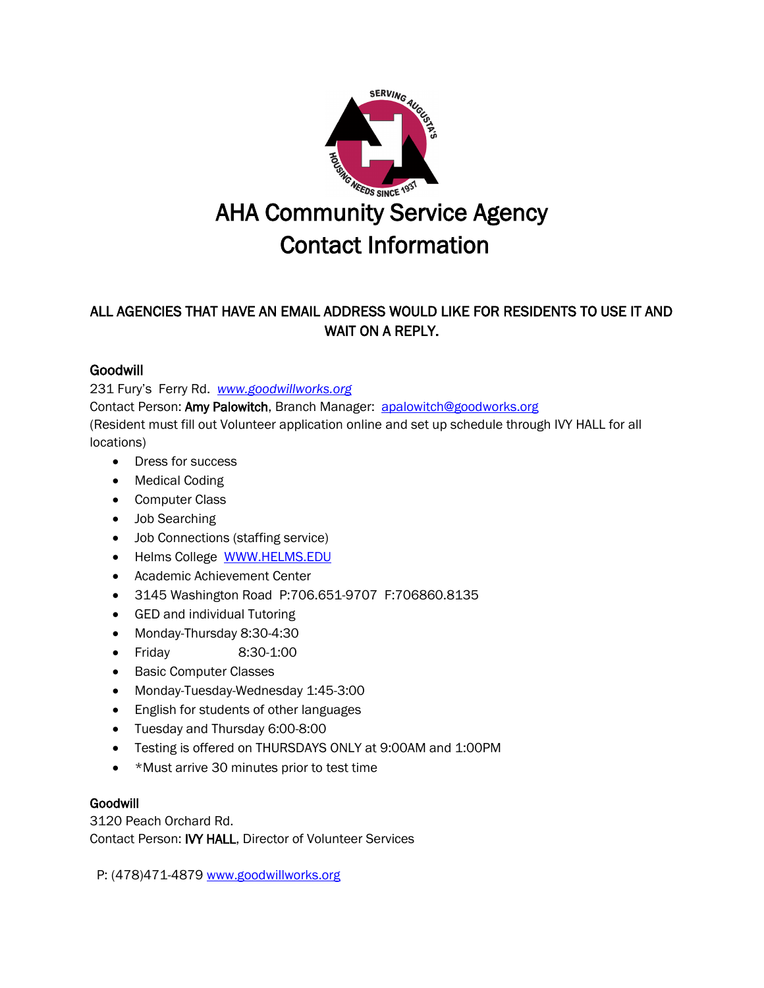

# ALL AGENCIES THAT HAVE AN EMAIL ADDRESS WOULD LIKE FOR RESIDENTS TO USE IT AND WAIT ON A REPLY.

## **Goodwill**

231 Fury's Ferry Rd. *[www.goodwillworks.org](http://www.goodwillworks.org/)*

Contact Person: Amy Palowitch, Branch Manager: [apalowitch@goodworks.org](mailto:apalowitch@goodworks.org) (Resident must fill out Volunteer application online and set up schedule through IVY HALL for all locations)

- Dress for success
- Medical Coding
- Computer Class
- Job Searching
- Job Connections (staffing service)
- Helms College [WWW.HELMS.EDU](http://www.helms.edu/)
- Academic Achievement Center
- 3145 Washington Road P:706.651-9707 F:706860.8135
- GED and individual Tutoring
- Monday-Thursday 8:30-4:30
- Friday 8:30-1:00
- Basic Computer Classes
- Monday-Tuesday-Wednesday 1:45-3:00
- English for students of other languages
- Tuesday and Thursday 6:00-8:00
- Testing is offered on THURSDAYS ONLY at 9:00AM and 1:00PM
- \*Must arrive 30 minutes prior to test time

### Goodwill

3120 Peach Orchard Rd. Contact Person: IVY HALL, Director of Volunteer Services

P: (478)471-4879 [www.goodwillworks.org](http://www.goodwillworks.org/)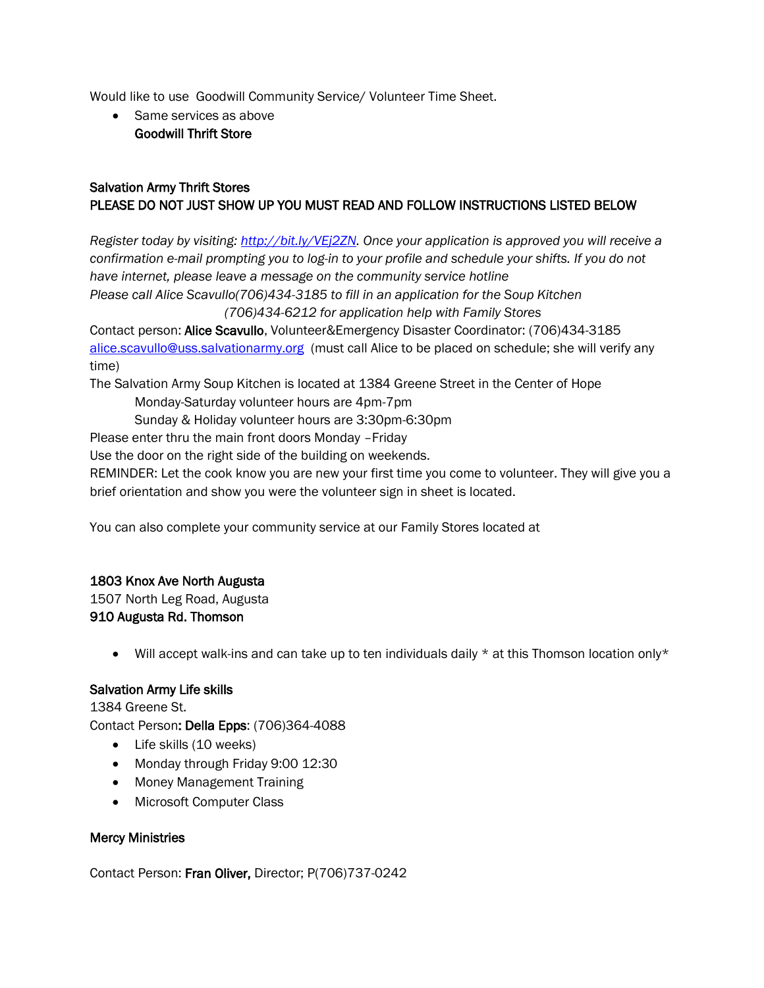Would like to use Goodwill Community Service/ Volunteer Time Sheet.

• Same services as above Goodwill Thrift Store

### Salvation Army Thrift Stores PLEASE DO NOT JUST SHOW UP YOU MUST READ AND FOLLOW INSTRUCTIONS LISTED BELOW

*Register today by visiting: [http://bit.ly/VEj2ZN.](http://bit.ly/VEj2ZN) Once your application is approved you will receive a confirmation e-mail prompting you to log-in to your profile and schedule your shifts. If you do not have internet, please leave a message on the community service hotline Please call Alice Scavullo(706)434-3185 to fill in an application for the Soup Kitchen (706)434-6212 for application help with Family Stores* Contact person: Alice Scavullo, Volunteer&Emergency Disaster Coordinator: (706)434-3185

[alice.scavullo@uss.salvationarmy.org](mailto:alice.scavullo@uss.salvationarmy.org) (must call Alice to be placed on schedule; she will verify any time)

The Salvation Army Soup Kitchen is located at 1384 Greene Street in the Center of Hope Monday-Saturday volunteer hours are 4pm-7pm

Sunday & Holiday volunteer hours are 3:30pm-6:30pm

Please enter thru the main front doors Monday –Friday

Use the door on the right side of the building on weekends.

REMINDER: Let the cook know you are new your first time you come to volunteer. They will give you a brief orientation and show you were the volunteer sign in sheet is located.

You can also complete your community service at our Family Stores located at

### 1803 Knox Ave North Augusta

1507 North Leg Road, Augusta 910 Augusta Rd. Thomson

 $\bullet$  Will accept walk-ins and can take up to ten individuals daily  $\star$  at this Thomson location only $\star$ 

### Salvation Army Life skills

1384 Greene St. Contact Person: Della Epps: (706)364-4088

- Life skills (10 weeks)
- Monday through Friday 9:00 12:30
- Money Management Training
- Microsoft Computer Class

### Mercy Ministries

Contact Person: Fran Oliver, Director; P(706)737-0242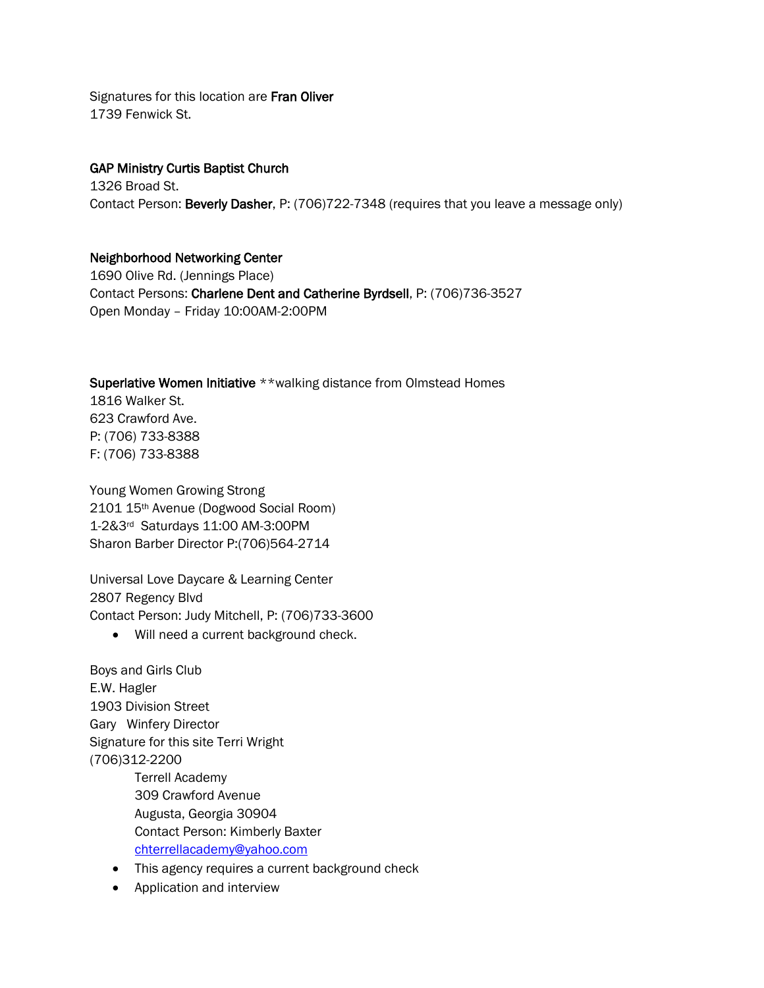Signatures for this location are Fran Oliver 1739 Fenwick St.

### GAP Ministry Curtis Baptist Church

1326 Broad St. Contact Person: Beverly Dasher, P: (706)722-7348 (requires that you leave a message only)

### Neighborhood Networking Center

1690 Olive Rd. (Jennings Place) Contact Persons: Charlene Dent and Catherine Byrdsell, P: (706)736-3527 Open Monday – Friday 10:00AM-2:00PM

#### Superlative Women Initiative \*\*walking distance from Olmstead Homes

1816 Walker St. 623 Crawford Ave. P: (706) 733-8388 F: (706) 733-8388

Young Women Growing Strong 2101 15th Avenue (Dogwood Social Room) 1-2&3rd Saturdays 11:00 AM-3:00PM Sharon Barber Director P:(706)564-2714

Universal Love Daycare & Learning Center 2807 Regency Blvd Contact Person: Judy Mitchell, P: (706)733-3600

• Will need a current background check.

Boys and Girls Club E.W. Hagler 1903 Division Street Gary Winfery Director Signature for this site Terri Wright (706)312-2200 Terrell Academy 309 Crawford Avenue Augusta, Georgia 30904 Contact Person: Kimberly Baxter [chterrellacademy@yahoo.com](mailto:chterrellacademy@yahoo.com)

- This agency requires a current background check
- Application and interview